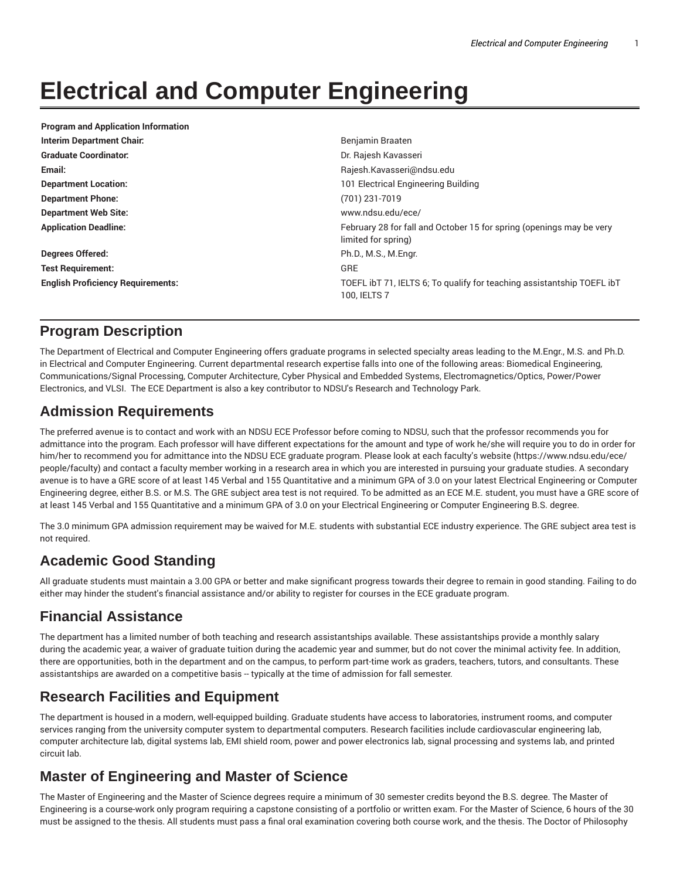# **Electrical and Computer Engineering**

| <b>Program and Application Information</b> |                                                                                             |
|--------------------------------------------|---------------------------------------------------------------------------------------------|
| Interim Department Chair:                  | Benjamin Braaten                                                                            |
| <b>Graduate Coordinator:</b>               | Dr. Rajesh Kavasseri                                                                        |
| Email:                                     | Rajesh.Kavasseri@ndsu.edu                                                                   |
| <b>Department Location:</b>                | 101 Electrical Engineering Building                                                         |
| <b>Department Phone:</b>                   | (701) 231-7019                                                                              |
| <b>Department Web Site:</b>                | www.ndsu.edu/ece/                                                                           |
| <b>Application Deadline:</b>               | February 28 for fall and October 15 for spring (openings may be very<br>limited for spring) |
| <b>Degrees Offered:</b>                    | Ph.D., M.S., M.Engr.                                                                        |
| <b>Test Requirement:</b>                   | <b>GRE</b>                                                                                  |
| <b>English Proficiency Requirements:</b>   | TOEFL ibT 71, IELTS 6; To qualify for teaching assistantship TOEFL ibT<br>100. IELTS 7      |

# **Program Description**

The Department of Electrical and Computer Engineering offers graduate programs in selected specialty areas leading to the M.Engr., M.S. and Ph.D. in Electrical and Computer Engineering. Current departmental research expertise falls into one of the following areas: Biomedical Engineering, Communications/Signal Processing, Computer Architecture, Cyber Physical and Embedded Systems, Electromagnetics/Optics, Power/Power Electronics, and VLSI. The ECE Department is also a key contributor to NDSU's Research and Technology Park.

# **Admission Requirements**

The preferred avenue is to contact and work with an NDSU ECE Professor before coming to NDSU, such that the professor recommends you for admittance into the program. Each professor will have different expectations for the amount and type of work he/she will require you to do in order for him/her to recommend you for admittance into the NDSU ECE graduate program. Please look at each faculty's website (https://www.ndsu.edu/ece/ people/faculty) and contact a faculty member working in a research area in which you are interested in pursuing your graduate studies. A secondary avenue is to have a GRE score of at least 145 Verbal and 155 Quantitative and a minimum GPA of 3.0 on your latest Electrical Engineering or Computer Engineering degree, either B.S. or M.S. The GRE subject area test is not required. To be admitted as an ECE M.E. student, you must have a GRE score of at least 145 Verbal and 155 Quantitative and a minimum GPA of 3.0 on your Electrical Engineering or Computer Engineering B.S. degree.

The 3.0 minimum GPA admission requirement may be waived for M.E. students with substantial ECE industry experience. The GRE subject area test is not required.

# **Academic Good Standing**

All graduate students must maintain a 3.00 GPA or better and make significant progress towards their degree to remain in good standing. Failing to do either may hinder the student's financial assistance and/or ability to register for courses in the ECE graduate program.

# **Financial Assistance**

The department has a limited number of both teaching and research assistantships available. These assistantships provide a monthly salary during the academic year, a waiver of graduate tuition during the academic year and summer, but do not cover the minimal activity fee. In addition, there are opportunities, both in the department and on the campus, to perform part-time work as graders, teachers, tutors, and consultants. These assistantships are awarded on a competitive basis -- typically at the time of admission for fall semester.

# **Research Facilities and Equipment**

The department is housed in a modern, well-equipped building. Graduate students have access to laboratories, instrument rooms, and computer services ranging from the university computer system to departmental computers. Research facilities include cardiovascular engineering lab, computer architecture lab, digital systems lab, EMI shield room, power and power electronics lab, signal processing and systems lab, and printed circuit lab.

# **Master of Engineering and Master of Science**

The Master of Engineering and the Master of Science degrees require a minimum of 30 semester credits beyond the B.S. degree. The Master of Engineering is a course-work only program requiring a capstone consisting of a portfolio or written exam. For the Master of Science, 6 hours of the 30 must be assigned to the thesis. All students must pass a final oral examination covering both course work, and the thesis. The Doctor of Philosophy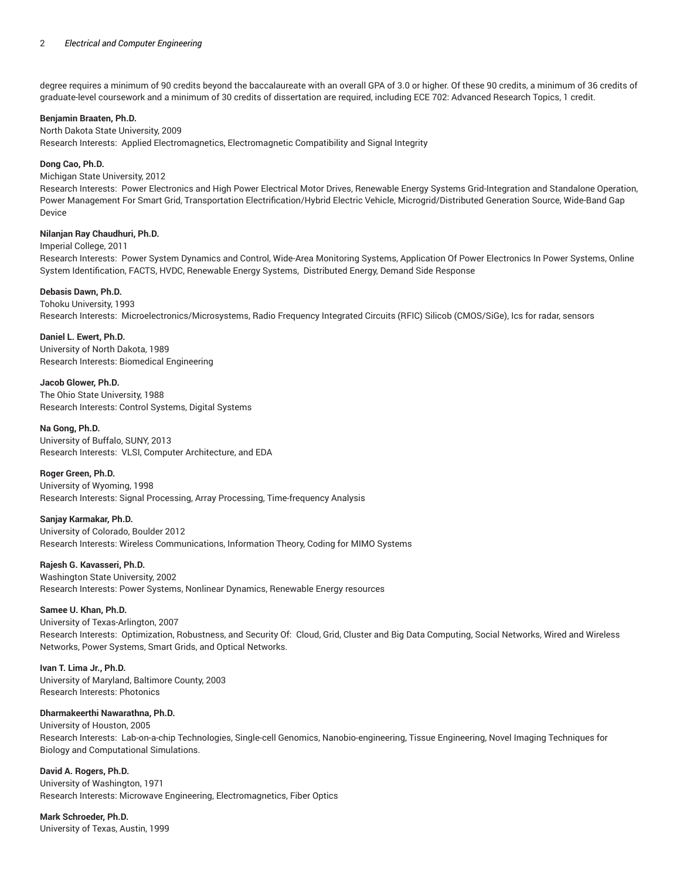degree requires a minimum of 90 credits beyond the baccalaureate with an overall GPA of 3.0 or higher. Of these 90 credits, a minimum of 36 credits of graduate-level coursework and a minimum of 30 credits of dissertation are required, including ECE 702: Advanced Research Topics, 1 credit.

#### **Benjamin Braaten, Ph.D.**

North Dakota State University, 2009 Research Interests: Applied Electromagnetics, Electromagnetic Compatibility and Signal Integrity

#### **Dong Cao, Ph.D.**

#### Michigan State University, 2012

Research Interests: Power Electronics and High Power Electrical Motor Drives, Renewable Energy Systems Grid-Integration and Standalone Operation, Power Management For Smart Grid, Transportation Electrification/Hybrid Electric Vehicle, Microgrid/Distributed Generation Source, Wide-Band Gap Device

#### **Nilanjan Ray Chaudhuri, Ph.D.**

Imperial College, 2011

Research Interests: Power System Dynamics and Control, Wide-Area Monitoring Systems, Application Of Power Electronics In Power Systems, Online System Identification, FACTS, HVDC, Renewable Energy Systems, Distributed Energy, Demand Side Response

## **Debasis Dawn, Ph.D.**

# Tohoku University, 1993

Research Interests: Microelectronics/Microsystems, Radio Frequency Integrated Circuits (RFIC) Silicob (CMOS/SiGe), Ics for radar, sensors

**Daniel L. Ewert, Ph.D.** University of North Dakota, 1989 Research Interests: Biomedical Engineering

**Jacob Glower, Ph.D.** The Ohio State University, 1988 Research Interests: Control Systems, Digital Systems

#### **Na Gong, Ph.D.**

University of Buffalo, SUNY, 2013 Research Interests: VLSI, Computer Architecture, and EDA

## **Roger Green, Ph.D.**

University of Wyoming, 1998 Research Interests: Signal Processing, Array Processing, Time-frequency Analysis

**Sanjay Karmakar, Ph.D.** University of Colorado, Boulder 2012 Research Interests: Wireless Communications, Information Theory, Coding for MIMO Systems

**Rajesh G. Kavasseri, Ph.D.**

Washington State University, 2002 Research Interests: Power Systems, Nonlinear Dynamics, Renewable Energy resources

## **Samee U. Khan, Ph.D.**

University of Texas-Arlington, 2007 Research Interests: Optimization, Robustness, and Security Of: Cloud, Grid, Cluster and Big Data Computing, Social Networks, Wired and Wireless Networks, Power Systems, Smart Grids, and Optical Networks.

## **Ivan T. Lima Jr., Ph.D.**

University of Maryland, Baltimore County, 2003 Research Interests: Photonics

# **Dharmakeerthi Nawarathna, Ph.D.**

## University of Houston, 2005

Research Interests: Lab-on-a-chip Technologies, Single-cell Genomics, Nanobio-engineering, Tissue Engineering, Novel Imaging Techniques for Biology and Computational Simulations.

**David A. Rogers, Ph.D.** University of Washington, 1971 Research Interests: Microwave Engineering, Electromagnetics, Fiber Optics

**Mark Schroeder, Ph.D.**

University of Texas, Austin, 1999